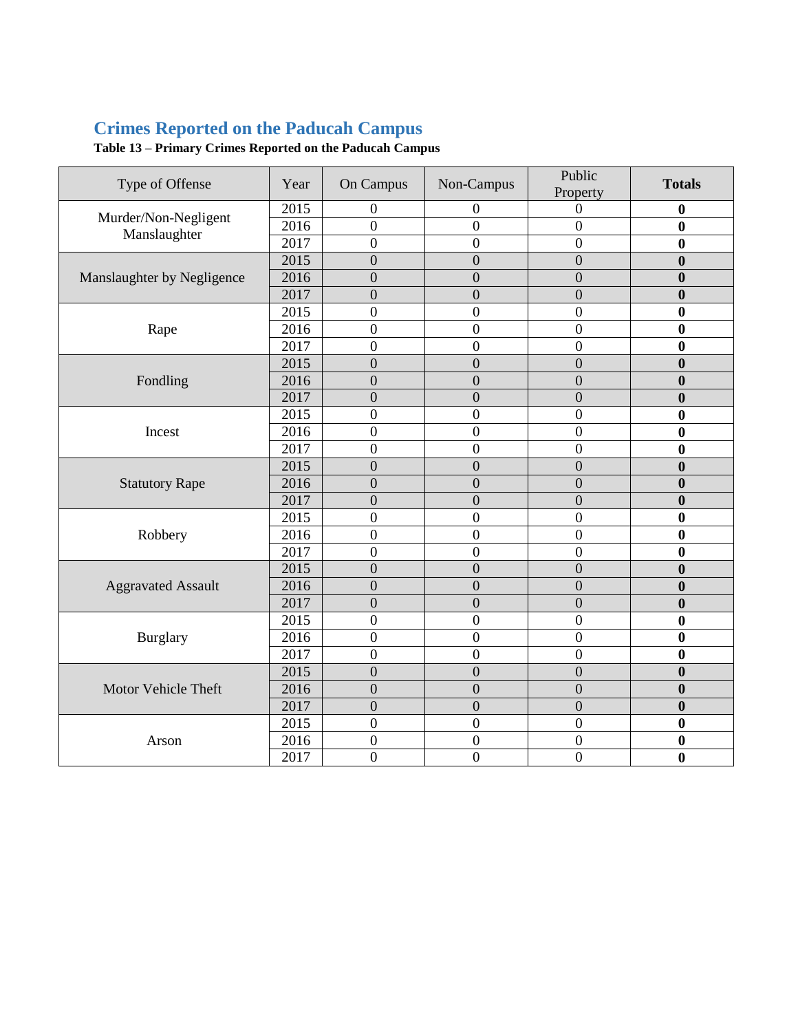## **Crimes Reported on the Paducah Campus**

| Type of Offense                      | Year | On Campus        | Non-Campus       | Public<br>Property | <b>Totals</b>    |
|--------------------------------------|------|------------------|------------------|--------------------|------------------|
| Murder/Non-Negligent<br>Manslaughter | 2015 | 0                | 0                | $\mathbf{0}$       | $\boldsymbol{0}$ |
|                                      | 2016 | $\boldsymbol{0}$ | $\boldsymbol{0}$ | $\overline{0}$     | $\bf{0}$         |
|                                      | 2017 | $\overline{0}$   | $\boldsymbol{0}$ | $\overline{0}$     | $\bf{0}$         |
|                                      | 2015 | $\overline{0}$   | $\overline{0}$   | $\overline{0}$     | $\bf{0}$         |
| Manslaughter by Negligence           | 2016 | $\overline{0}$   | $\boldsymbol{0}$ | $\overline{0}$     | $\bf{0}$         |
|                                      | 2017 | $\overline{0}$   | $\boldsymbol{0}$ | $\overline{0}$     | $\bf{0}$         |
| Rape                                 | 2015 | $\boldsymbol{0}$ | $\boldsymbol{0}$ | $\overline{0}$     | $\bf{0}$         |
|                                      | 2016 | $\overline{0}$   | $\overline{0}$   | $\overline{0}$     | $\bf{0}$         |
|                                      | 2017 | $\overline{0}$   | $\overline{0}$   | $\overline{0}$     | $\bf{0}$         |
| Fondling                             | 2015 | $\overline{0}$   | $\overline{0}$   | $\overline{0}$     | $\bf{0}$         |
|                                      | 2016 | $\overline{0}$   | $\overline{0}$   | $\overline{0}$     | $\bf{0}$         |
|                                      | 2017 | $\overline{0}$   | $\overline{0}$   | $\overline{0}$     | $\bf{0}$         |
| Incest                               | 2015 | $\overline{0}$   | $\overline{0}$   | $\overline{0}$     | $\bf{0}$         |
|                                      | 2016 | $\boldsymbol{0}$ | $\boldsymbol{0}$ | $\mathbf{0}$       | $\bf{0}$         |
|                                      | 2017 | $\overline{0}$   | $\overline{0}$   | $\overline{0}$     | $\bf{0}$         |
|                                      | 2015 | $\overline{0}$   | $\mathbf{0}$     | $\overline{0}$     | $\bf{0}$         |
| <b>Statutory Rape</b>                | 2016 | $\overline{0}$   | $\boldsymbol{0}$ | $\boldsymbol{0}$   | $\bf{0}$         |
|                                      | 2017 | $\overline{0}$   | $\overline{0}$   | $\overline{0}$     | $\bf{0}$         |
| Robbery                              | 2015 | $\overline{0}$   | $\boldsymbol{0}$ | $\boldsymbol{0}$   | $\bf{0}$         |
|                                      | 2016 | $\overline{0}$   | $\overline{0}$   | $\overline{0}$     | $\bf{0}$         |
|                                      | 2017 | $\boldsymbol{0}$ | $\boldsymbol{0}$ | $\overline{0}$     | $\bf{0}$         |
| <b>Aggravated Assault</b>            | 2015 | $\mathbf{0}$     | $\mathbf{0}$     | $\boldsymbol{0}$   | $\boldsymbol{0}$ |
|                                      | 2016 | $\overline{0}$   | $\overline{0}$   | $\overline{0}$     | $\bf{0}$         |
|                                      | 2017 | $\overline{0}$   | $\overline{0}$   | $\overline{0}$     | $\bf{0}$         |
| <b>Burglary</b>                      | 2015 | $\overline{0}$   | $\overline{0}$   | $\overline{0}$     | $\bf{0}$         |
|                                      | 2016 | $\overline{0}$   | $\overline{0}$   | $\overline{0}$     | $\bf{0}$         |
|                                      | 2017 | $\overline{0}$   | $\boldsymbol{0}$ | $\overline{0}$     | $\bf{0}$         |
| Motor Vehicle Theft                  | 2015 | $\overline{0}$   | $\boldsymbol{0}$ | $\overline{0}$     | $\bf{0}$         |
|                                      | 2016 | $\overline{0}$   | $\overline{0}$   | $\overline{0}$     | $\boldsymbol{0}$ |
|                                      | 2017 | $\overline{0}$   | $\boldsymbol{0}$ | $\overline{0}$     | $\bf{0}$         |
| Arson                                | 2015 | $\overline{0}$   | $\boldsymbol{0}$ | $\overline{0}$     | $\bf{0}$         |
|                                      | 2016 | $\boldsymbol{0}$ | $\boldsymbol{0}$ | $\boldsymbol{0}$   | $\bf{0}$         |
|                                      | 2017 | $\overline{0}$   | $\overline{0}$   | $\boldsymbol{0}$   | $\mathbf{0}$     |

**Table 13 – Primary Crimes Reported on the Paducah Campus**